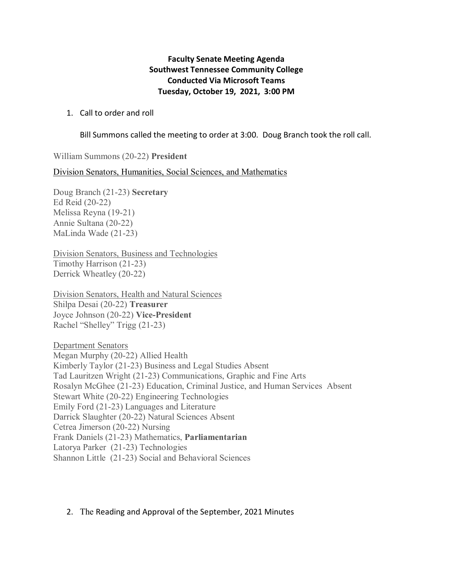# **Faculty Senate Meeting Agenda Southwest Tennessee Community College Conducted Via Microsoft Teams Tuesday, October 19, 2021, 3:00 PM**

#### 1. Call to order and roll

Bill Summons called the meeting to order at 3:00. Doug Branch took the roll call.

William Summons (20-22) **President** 

Division Senators, Humanities, Social Sciences, and Mathematics

Doug Branch (21-23) **Secretary** Ed Reid (20-22) Melissa Reyna (19-21) Annie Sultana (20-22) MaLinda Wade (21-23)

Division Senators, Business and Technologies Timothy Harrison (21-23) Derrick Wheatley (20-22)

Division Senators, Health and Natural Sciences Shilpa Desai (20-22) **Treasurer** Joyce Johnson (20-22) **Vice-President** Rachel "Shelley" Trigg (21-23)

Department Senators Megan Murphy (20-22) Allied Health Kimberly Taylor (21-23) Business and Legal Studies Absent Tad Lauritzen Wright (21-23) Communications, Graphic and Fine Arts Rosalyn McGhee (21-23) Education, Criminal Justice, and Human Services Absent Stewart White (20-22) Engineering Technologies Emily Ford (21-23) Languages and Literature Darrick Slaughter (20-22) Natural Sciences Absent Cetrea Jimerson (20-22) Nursing Frank Daniels (21-23) Mathematics, **Parliamentarian**  Latorya Parker (21-23) Technologies Shannon Little (21-23) Social and Behavioral Sciences

#### 2. The Reading and Approval of the September, 2021 Minutes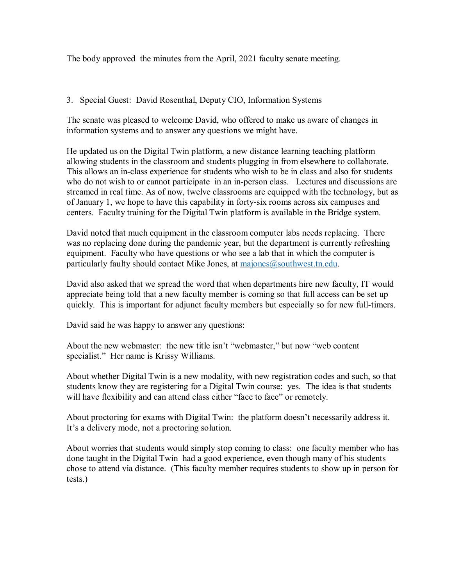The body approved the minutes from the April, 2021 faculty senate meeting.

### 3. Special Guest: David Rosenthal, Deputy CIO, Information Systems

The senate was pleased to welcome David, who offered to make us aware of changes in information systems and to answer any questions we might have.

He updated us on the Digital Twin platform, a new distance learning teaching platform allowing students in the classroom and students plugging in from elsewhere to collaborate. This allows an in-class experience for students who wish to be in class and also for students who do not wish to or cannot participate in an in-person class. Lectures and discussions are streamed in real time. As of now, twelve classrooms are equipped with the technology, but as of January 1, we hope to have this capability in forty-six rooms across six campuses and centers. Faculty training for the Digital Twin platform is available in the Bridge system.

David noted that much equipment in the classroom computer labs needs replacing. There was no replacing done during the pandemic year, but the department is currently refreshing equipment. Faculty who have questions or who see a lab that in which the computer is particularly faulty should contact Mike Jones, at [majones@southwest.tn.edu.](mailto:majones@southwest.tn.edu)

David also asked that we spread the word that when departments hire new faculty, IT would appreciate being told that a new faculty member is coming so that full access can be set up quickly. This is important for adjunct faculty members but especially so for new full-timers.

David said he was happy to answer any questions:

About the new webmaster: the new title isn't "webmaster," but now "web content specialist." Her name is Krissy Williams.

About whether Digital Twin is a new modality, with new registration codes and such, so that students know they are registering for a Digital Twin course: yes. The idea is that students will have flexibility and can attend class either "face to face" or remotely.

About proctoring for exams with Digital Twin: the platform doesn't necessarily address it. It's a delivery mode, not a proctoring solution.

About worries that students would simply stop coming to class: one faculty member who has done taught in the Digital Twin had a good experience, even though many of his students chose to attend via distance. (This faculty member requires students to show up in person for tests.)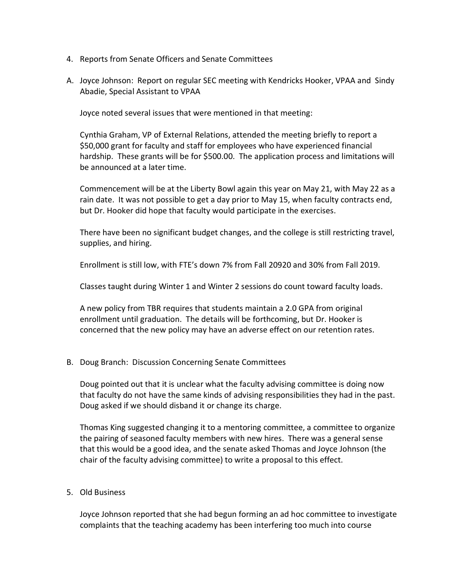- 4. Reports from Senate Officers and Senate Committees
- A. Joyce Johnson: Report on regular SEC meeting with Kendricks Hooker, VPAA and Sindy Abadie, Special Assistant to VPAA

Joyce noted several issues that were mentioned in that meeting:

Cynthia Graham, VP of External Relations, attended the meeting briefly to report a \$50,000 grant for faculty and staff for employees who have experienced financial hardship. These grants will be for \$500.00. The application process and limitations will be announced at a later time.

Commencement will be at the Liberty Bowl again this year on May 21, with May 22 as a rain date. It was not possible to get a day prior to May 15, when faculty contracts end, but Dr. Hooker did hope that faculty would participate in the exercises.

There have been no significant budget changes, and the college is still restricting travel, supplies, and hiring.

Enrollment is still low, with FTE's down 7% from Fall 20920 and 30% from Fall 2019.

Classes taught during Winter 1 and Winter 2 sessions do count toward faculty loads.

A new policy from TBR requires that students maintain a 2.0 GPA from original enrollment until graduation. The details will be forthcoming, but Dr. Hooker is concerned that the new policy may have an adverse effect on our retention rates.

# B. Doug Branch: Discussion Concerning Senate Committees

Doug pointed out that it is unclear what the faculty advising committee is doing now that faculty do not have the same kinds of advising responsibilities they had in the past. Doug asked if we should disband it or change its charge.

Thomas King suggested changing it to a mentoring committee, a committee to organize the pairing of seasoned faculty members with new hires. There was a general sense that this would be a good idea, and the senate asked Thomas and Joyce Johnson (the chair of the faculty advising committee) to write a proposal to this effect.

# 5. Old Business

Joyce Johnson reported that she had begun forming an ad hoc committee to investigate complaints that the teaching academy has been interfering too much into course